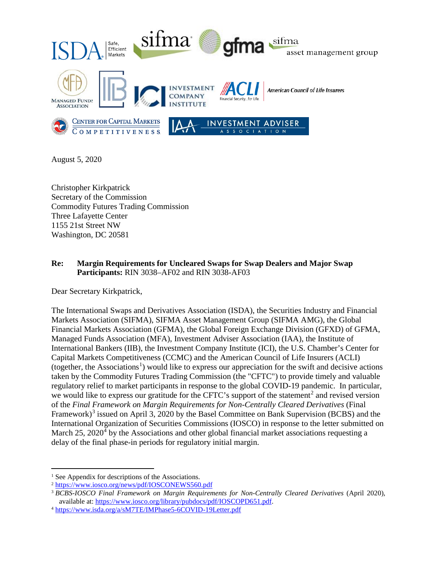

August 5, 2020

Christopher Kirkpatrick Secretary of the Commission Commodity Futures Trading Commission Three Lafayette Center 1155 21st Street NW Washington, DC 20581

## **Re: Margin Requirements for Uncleared Swaps for Swap Dealers and Major Swap Participants:** RIN 3038–AF02 and RIN 3038-AF03

Dear Secretary Kirkpatrick,

The International Swaps and Derivatives Association (ISDA), the Securities Industry and Financial Markets Association (SIFMA), SIFMA Asset Management Group (SIFMA AMG), the Global Financial Markets Association (GFMA), the Global Foreign Exchange Division (GFXD) of GFMA, Managed Funds Association (MFA), Investment Adviser Association (IAA), the Institute of International Bankers (IIB), the Investment Company Institute (ICI), the U.S. Chamber's Center for Capital Markets Competitiveness (CCMC) and the American Council of Life Insurers (ACLI) (together, the Associations<sup>[1](#page-0-0)</sup>) would like to express our appreciation for the swift and decisive actions taken by the Commodity Futures Trading Commission (the "CFTC") to provide timely and valuable regulatory relief to market participants in response to the global COVID-19 pandemic. In particular, we would like to express our gratitude for the CFTC's support of the statement<sup>[2](#page-0-1)</sup> and revised version of the *Final Framework on Margin Requirements for Non-Centrally Cleared Derivatives* (Final Framework)<sup>[3](#page-0-2)</sup> issued on April 3, 2020 by the Basel Committee on Bank Supervision (BCBS) and the International Organization of Securities Commissions (IOSCO) in response to the letter submitted on March  $25$ ,  $2020<sup>4</sup>$  $2020<sup>4</sup>$  $2020<sup>4</sup>$  by the Associations and other global financial market associations requesting a delay of the final phase-in periods for regulatory initial margin.

<span id="page-0-0"></span><sup>&</sup>lt;sup>1</sup> See Appendix for descriptions of the Associations.

<span id="page-0-1"></span><sup>2</sup> <https://www.iosco.org/news/pdf/IOSCONEWS560.pdf>

<span id="page-0-2"></span><sup>3</sup> *BCBS-IOSCO Final Framework on Margin Requirements for Non-Centrally Cleared Derivatives* (April 2020), available at: [https://www.iosco.org/library/pubdocs/pdf/IOSCOPD651.pdf.](https://www.iosco.org/library/pubdocs/pdf/IOSCOPD651.pdf)

<span id="page-0-3"></span><sup>4</sup> <https://www.isda.org/a/sM7TE/IMPhase5-6COVID-19Letter.pdf>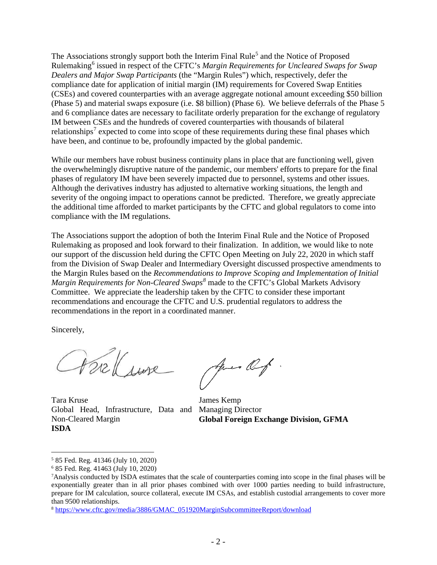The Associations strongly support both the Interim Final Rule<sup>[5](#page-1-0)</sup> and the Notice of Proposed Rulemaking[6](#page-1-1) issued in respect of the CFTC's *Margin Requirements for Uncleared Swaps for Swap Dealers and Major Swap Participants* (the "Margin Rules") which, respectively, defer the compliance date for application of initial margin (IM) requirements for Covered Swap Entities (CSEs) and covered counterparties with an average aggregate notional amount exceeding \$50 billion (Phase 5) and material swaps exposure (i.e. \$8 billion) (Phase 6). We believe deferrals of the Phase 5 and 6 compliance dates are necessary to facilitate orderly preparation for the exchange of regulatory IM between CSEs and the hundreds of covered counterparties with thousands of bilateral relationships<sup>[7](#page-1-2)</sup> expected to come into scope of these requirements during these final phases which have been, and continue to be, profoundly impacted by the global pandemic.

While our members have robust business continuity plans in place that are functioning well, given the overwhelmingly disruptive nature of the pandemic, our members' efforts to prepare for the final phases of regulatory IM have been severely impacted due to personnel, systems and other issues. Although the derivatives industry has adjusted to alternative working situations, the length and severity of the ongoing impact to operations cannot be predicted. Therefore, we greatly appreciate the additional time afforded to market participants by the CFTC and global regulators to come into compliance with the IM regulations.

The Associations support the adoption of both the Interim Final Rule and the Notice of Proposed Rulemaking as proposed and look forward to their finalization. In addition, we would like to note our support of the discussion held during the CFTC Open Meeting on July 22, 2020 in which staff from the Division of Swap Dealer and Intermediary Oversight discussed prospective amendments to the Margin Rules based on the *Recommendations to Improve Scoping and Implementation of Initial Margin Requirements for Non-Cleared Swaps[8](#page-1-3)* made to the CFTC's Global Markets Advisory Committee. We appreciate the leadership taken by the CFTC to consider these important recommendations and encourage the CFTC and U.S. prudential regulators to address the recommendations in the report in a coordinated manner.

Sincerely,

Parksure

Jues Of

Tara Kruse Global Head, Infrastructure, Data and Managing Director Non-Cleared Margin **ISDA**

James Kemp **Global Foreign Exchange Division, GFMA**

<span id="page-1-0"></span> <sup>5</sup> 85 Fed. Reg. 41346 (July 10, 2020)

<span id="page-1-1"></span><sup>6</sup> 85 Fed. Reg. 41463 (July 10, 2020)

<span id="page-1-2"></span><sup>7</sup>Analysis conducted by ISDA estimates that the scale of counterparties coming into scope in the final phases will be exponentially greater than in all prior phases combined with over 1000 parties needing to build infrastructure, prepare for IM calculation, source collateral, execute IM CSAs, and establish custodial arrangements to cover more than 9500 relationships.

<span id="page-1-3"></span><sup>8</sup> [https://www.cftc.gov/media/3886/GMAC\\_051920MarginSubcommitteeReport/download](https://www.cftc.gov/media/3886/GMAC_051920MarginSubcommitteeReport/download)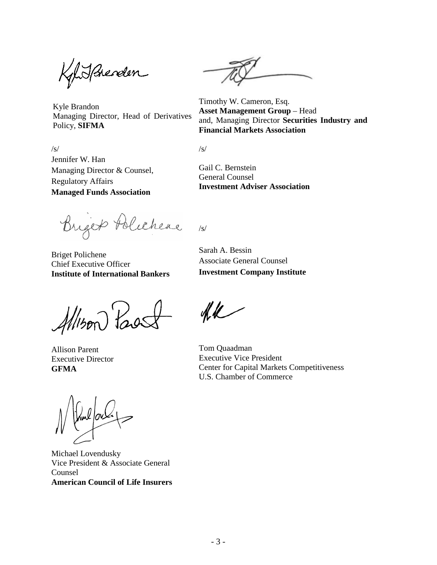Khisphender

Kyle Brandon Managing Director, Head of Derivatives Policy, **SIFMA**

Timothy W. Cameron, Esq. **Asset Management Group** – Head and, Managing Director **Securities Industry and Financial Markets Association**

 $/s/$ Jennifer W. Han Managing Director & Counsel, Regulatory Affairs **Managed Funds Association**

/s/

/s/

Gail C. Bernstein General Counsel **Investment Adviser Association**

Briger Polichere

Briget Polichene Chief Executive Officer **Institute of International Bankers**

Sarah A. Bessin Associate General Counsel **Investment Company Institute**

Allison Past

Allison Parent Executive Director **GFMA**

Michael Lovendusky Vice President & Associate General Counsel **American Council of Life Insurers**

 $4k$ 

Tom Quaadman Executive Vice President Center for Capital Markets Competitiveness U.S. Chamber of Commerce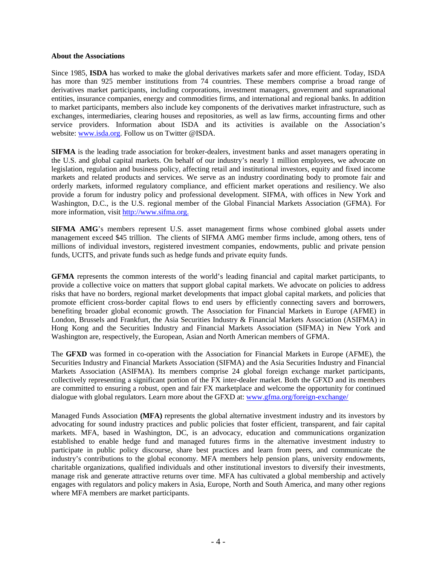## **About the Associations**

Since 1985, **ISDA** has worked to make the global derivatives markets safer and more efficient. Today, ISDA has more than 925 member institutions from 74 countries. These members comprise a broad range of derivatives market participants, including corporations, investment managers, government and supranational entities, insurance companies, energy and commodities firms, and international and regional banks. In addition to market participants, members also include key components of the derivatives market infrastructure, such as exchanges, intermediaries, clearing houses and repositories, as well as law firms, accounting firms and other service providers. Information about ISDA and its activities is available on the Association's website: [www.isda.org.](http://www.isda.org/) Follow us on Twitter @ISDA.

**SIFMA** is the leading trade association for broker-dealers, investment banks and asset managers operating in the U.S. and global capital markets. On behalf of our industry's nearly 1 million employees, we advocate on legislation, regulation and business policy, affecting retail and institutional investors, equity and fixed income markets and related products and services. We serve as an industry coordinating body to promote fair and orderly markets, informed regulatory compliance, and efficient market operations and resiliency. We also provide a forum for industry policy and professional development. SIFMA, with offices in New York and Washington, D.C., is the U.S. regional member of the Global Financial Markets Association (GFMA). For more information, visit [http://www.sifma.org.](http://www.sifma.org/)

**SIFMA AMG**'s members represent U.S. asset management firms whose combined global assets under management exceed \$45 trillion. The clients of SIFMA AMG member firms include, among others, tens of millions of individual investors, registered investment companies, endowments, public and private pension funds, UCITS, and private funds such as hedge funds and private equity funds.

**GFMA** represents the common interests of the world's leading financial and capital market participants, to provide a collective voice on matters that support global capital markets. We advocate on policies to address risks that have no borders, regional market developments that impact global capital markets, and policies that promote efficient cross-border capital flows to end users by efficiently connecting savers and borrowers, benefiting broader global economic growth. The Association for Financial Markets in Europe (AFME) in London, Brussels and Frankfurt, the Asia Securities Industry & Financial Markets Association (ASIFMA) in Hong Kong and the Securities Industry and Financial Markets Association (SIFMA) in New York and Washington are, respectively, the European, Asian and North American members of GFMA.

The **GFXD** was formed in co-operation with the Association for Financial Markets in Europe (AFME), the Securities Industry and Financial Markets Association (SIFMA) and the Asia Securities Industry and Financial Markets Association (ASIFMA). Its members comprise 24 global foreign exchange market participants, collectively representing a significant portion of the FX inter-dealer market. Both the GFXD and its members are committed to ensuring a robust, open and fair FX marketplace and welcome the opportunity for continued dialogue with global regulators. Learn more about the GFXD at: [www.gfma.org/foreign-exchange/](https://www.gfma.org/foreign-exchange/)

Managed Funds Association **(MFA)** represents the global alternative investment industry and its investors by advocating for sound industry practices and public policies that foster efficient, transparent, and fair capital markets. MFA, based in Washington, DC, is an advocacy, education and communications organization established to enable hedge fund and managed futures firms in the alternative investment industry to participate in public policy discourse, share best practices and learn from peers, and communicate the industry's contributions to the global economy. MFA members help pension plans, university endowments, charitable organizations, qualified individuals and other institutional investors to diversify their investments, manage risk and generate attractive returns over time. MFA has cultivated a global membership and actively engages with regulators and policy makers in Asia, Europe, North and South America, and many other regions where MFA members are market participants.